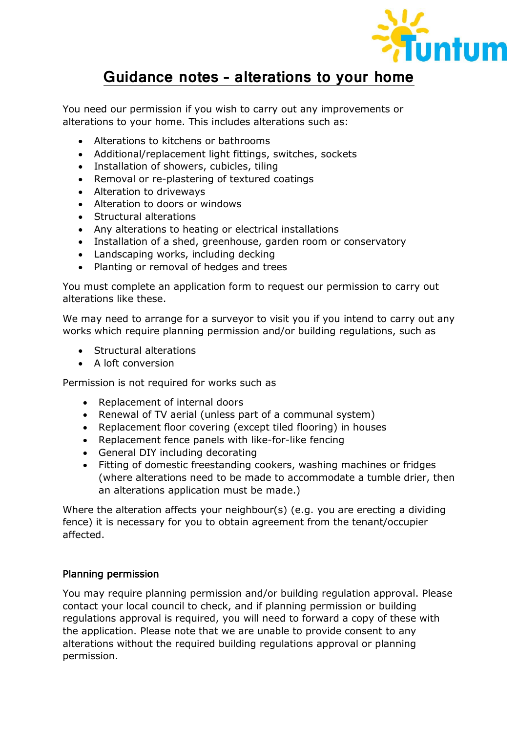

# Guidance notes – alterations to your home

You need our permission if you wish to carry out any improvements or alterations to your home. This includes alterations such as:

- Alterations to kitchens or bathrooms
- Additional/replacement light fittings, switches, sockets
- Installation of showers, cubicles, tiling
- Removal or re-plastering of textured coatings
- Alteration to driveways
- Alteration to doors or windows
- Structural alterations
- Any alterations to heating or electrical installations
- Installation of a shed, greenhouse, garden room or conservatory
- Landscaping works, including decking
- Planting or removal of hedges and trees

You must complete an application form to request our permission to carry out alterations like these.

We may need to arrange for a surveyor to visit you if you intend to carry out any works which require planning permission and/or building regulations, such as

- Structural alterations
- A loft conversion

Permission is not required for works such as

- Replacement of internal doors
- Renewal of TV aerial (unless part of a communal system)
- Replacement floor covering (except tiled flooring) in houses
- Replacement fence panels with like-for-like fencing
- General DIY including decorating
- Fitting of domestic freestanding cookers, washing machines or fridges (where alterations need to be made to accommodate a tumble drier, then an alterations application must be made.)

Where the alteration affects your neighbour(s) (e.g. you are erecting a dividing fence) it is necessary for you to obtain agreement from the tenant/occupier affected.

#### Planning permission

You may require planning permission and/or building regulation approval. Please contact your local council to check, and if planning permission or building regulations approval is required, you will need to forward a copy of these with the application. Please note that we are unable to provide consent to any alterations without the required building regulations approval or planning permission.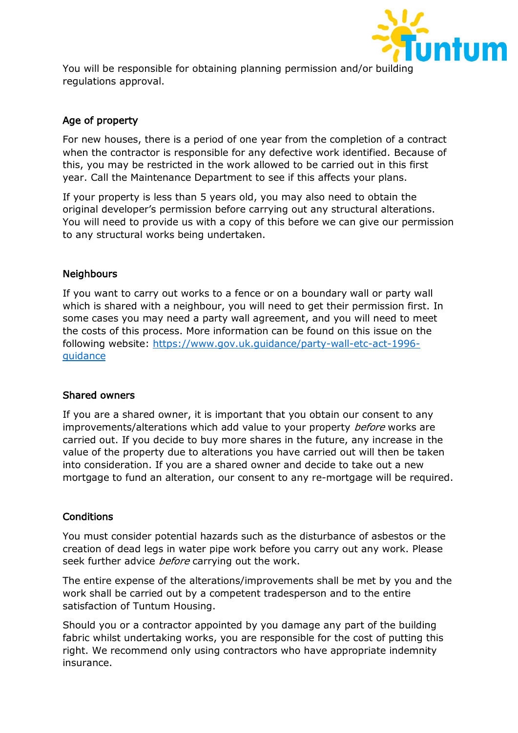

You will be responsible for obtaining planning permission and/or building regulations approval.

## Age of property

For new houses, there is a period of one year from the completion of a contract when the contractor is responsible for any defective work identified. Because of this, you may be restricted in the work allowed to be carried out in this first year. Call the Maintenance Department to see if this affects your plans.

If your property is less than 5 years old, you may also need to obtain the original developer's permission before carrying out any structural alterations. You will need to provide us with a copy of this before we can give our permission to any structural works being undertaken.

## **Neighbours**

If you want to carry out works to a fence or on a boundary wall or party wall which is shared with a neighbour, you will need to get their permission first. In some cases you may need a party wall agreement, and you will need to meet the costs of this process. More information can be found on this issue on the following website: [https://www.gov.uk.guidance/party-wall-etc-act-1996](https://www.gov.uk.guidance/party-wall-etc-act-1996-guidance) [guidance](https://www.gov.uk.guidance/party-wall-etc-act-1996-guidance)

## Shared owners

If you are a shared owner, it is important that you obtain our consent to any improvements/alterations which add value to your property before works are carried out. If you decide to buy more shares in the future, any increase in the value of the property due to alterations you have carried out will then be taken into consideration. If you are a shared owner and decide to take out a new mortgage to fund an alteration, our consent to any re-mortgage will be required.

## **Conditions**

You must consider potential hazards such as the disturbance of asbestos or the creation of dead legs in water pipe work before you carry out any work. Please seek further advice *before* carrying out the work.

The entire expense of the alterations/improvements shall be met by you and the work shall be carried out by a competent tradesperson and to the entire satisfaction of Tuntum Housing.

Should you or a contractor appointed by you damage any part of the building fabric whilst undertaking works, you are responsible for the cost of putting this right. We recommend only using contractors who have appropriate indemnity insurance.